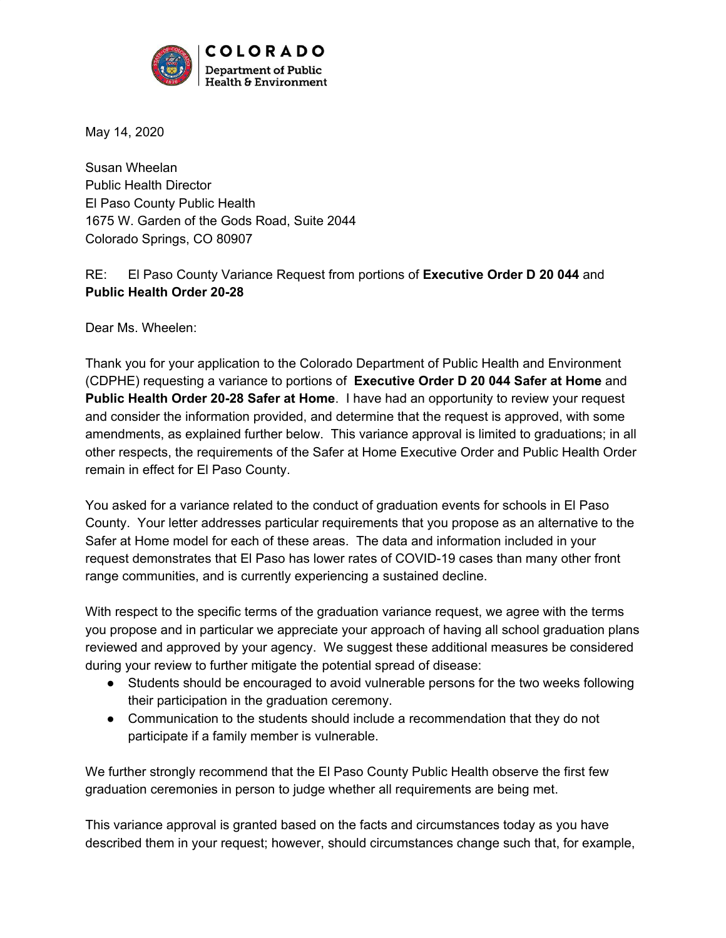

May 14, 2020

Susan Wheelan Public Health Director El Paso County Public Health 1675 W. Garden of the Gods Road, Suite 2044 Colorado Springs, CO 80907

RE: El Paso County Variance Request from portions of **Executive Order D 20 044** and **Public Health Order 20-28**

Dear Ms. Wheelen:

Thank you for your application to the Colorado Department of Public Health and Environment (CDPHE) requesting a variance to portions of **Executive Order D 20 044 Safer at Home** and **Public Health Order 20-28 Safer at Home**. I have had an opportunity to review your request and consider the information provided, and determine that the request is approved, with some amendments, as explained further below. This variance approval is limited to graduations; in all other respects, the requirements of the Safer at Home Executive Order and Public Health Order remain in effect for El Paso County.

You asked for a variance related to the conduct of graduation events for schools in El Paso County. Your letter addresses particular requirements that you propose as an alternative to the Safer at Home model for each of these areas. The data and information included in your request demonstrates that El Paso has lower rates of COVID-19 cases than many other front range communities, and is currently experiencing a sustained decline.

With respect to the specific terms of the graduation variance request, we agree with the terms you propose and in particular we appreciate your approach of having all school graduation plans reviewed and approved by your agency. We suggest these additional measures be considered during your review to further mitigate the potential spread of disease:

- Students should be encouraged to avoid vulnerable persons for the two weeks following their participation in the graduation ceremony.
- Communication to the students should include a recommendation that they do not participate if a family member is vulnerable.

We further strongly recommend that the El Paso County Public Health observe the first few graduation ceremonies in person to judge whether all requirements are being met.

This variance approval is granted based on the facts and circumstances today as you have described them in your request; however, should circumstances change such that, for example,